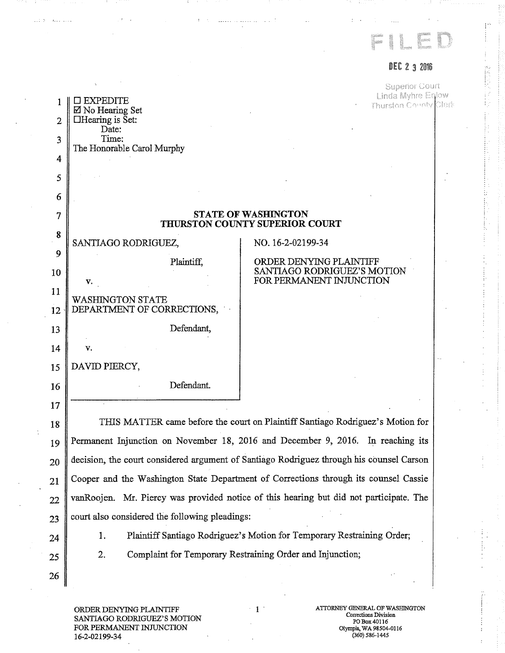

## DEC 2 3 2016

Ť low Clerk

|                |                                                              | <b>Superior Cour</b>                                                            |
|----------------|--------------------------------------------------------------|---------------------------------------------------------------------------------|
|                | EXPEDITE<br>⊠ No Hearing Set                                 | Linda Myhre Enl<br>Thurston County                                              |
| $\overline{2}$ | $\Box$ Hearing is Set:<br>Date:                              |                                                                                 |
| 3              | Time:                                                        |                                                                                 |
| $\overline{4}$ | The Honorable Carol Murphy                                   |                                                                                 |
| 5              |                                                              |                                                                                 |
| 6              |                                                              |                                                                                 |
| 7              | <b>STATE OF WASHINGTON</b><br>THURSTON COUNTY SUPERIOR COURT |                                                                                 |
| 8              | SANTIAGO RODRIGUEZ,                                          | NO. 16-2-02199-34                                                               |
| 9              | Plaintiff,                                                   | ORDER DENYING PLAINTIFF                                                         |
| 10             | V.                                                           | SANTIAGO RODRIGUEZ'S MOTION<br>FOR PERMANENT INJUNCTION                         |
| 11             |                                                              |                                                                                 |
| 12             | <b>WASHINGTON STATE</b><br>DEPARTMENT OF CORRECTIONS,        |                                                                                 |
| 13             | Defendant,                                                   |                                                                                 |
| 14             | V.                                                           |                                                                                 |
| 15             | DAVID PIERCY,                                                |                                                                                 |
| 16             | Defendant.                                                   |                                                                                 |
| 17             |                                                              |                                                                                 |
| 18             |                                                              | THIS MATTER came before the court on Plaintiff Santiago Rodriguez's Motion for  |
| 19             |                                                              | Permanent Injunction on November 18, 2016 and December 9, 2016. In reaching its |

i 20 Permanent Injunction on November 18, 2016 and December 9, 2016. In reaching its decision, the court considered argument of Santiago Rodriguez through his counsel Carson Cooper and the Washington State Department of Corrections through its counsel Cassie vanRoojen. Mr. Piercy was provided notice of this hearing but did not participate. The court also considered the following pleadings:

24

21

 $1.1 - 5$ 

 $\mathcal{A}_{\mathcal{A}}$  ,  $\mathcal{A}_{\mathcal{A}}$  ,  $\mathcal{A}_{\mathcal{A}}$  ,  $\mathcal{A}_{\mathcal{A}}$ 

22

23

25

26

1. Plaintiff Santiago Rodriguez's Motion for Temporary Restraining Order;

2. Complaint for Temporary Restraining Order and Injunction;

ORDER DENYING PLAINTIFF SANTIAGO RODRIGUEZ'S MOTION FOR PERMANENT INJUNCTION 16-2-02199-34

1 ATTORNEY GENERAL OF WASHINGTON Corrections Division PO Box 40116 Olympia, WA 98504-0116 (360) 586-1445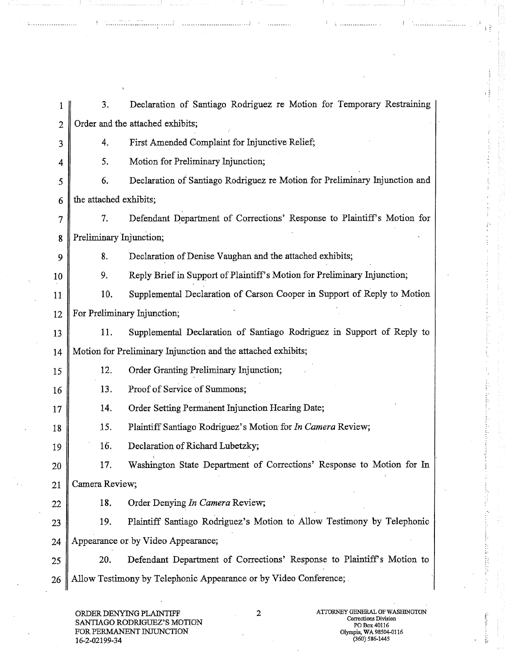1 3. Declaration of Santiago Rodriguez re Motion for Temporary Restraining 2 Order and the attached exhibits; 3 4. First Amended Complaint for Injunctive Relief; 4 5. Motion for Preliminary Injunction; 5 6. Declaration of Santiago Rodriguez re Motion for Preliminary Injunction and 6 the attached exhibits; 7 7. Defendant Department of Corrections' Response to Plaintiff's Motion for 8 Preliminary Injunction; 9 8. Declaration of Denise Vaughan and the attached exhibits; 10 9. Reply Brief in Support of Plaintiff's Motion for Preliminary Injunction; 11 | 10. Supplemental Declaration of Carson Cooper in Support of Reply to Motion 12 For Preliminary Injunction; 13 11. Supplemental Declaration of Santiago Rodriguez in Support of Reply to 14 Motion for Preliminary Injunction and the attached exhibits; 15 12. Order Granting Preliminary Injunction; 16 13. Proof of Service of Summons; 17 | 14. Order Setting Permanent Injunction Hearing Date; 18 .15. Plaintiff Santiago Rodriguez's Motion for *In Camera* Review; 19 | 16. Declaration of Richard Lubetzky; 20 17. Washington State Department of Corrections' Response to Motion for In 21 Camera Review; 22 **18.** Order Denying *In Camera* Review; 23 19. Plaintiff Santiago Rodriguez's Motion to Allow Testimony by Telephonic 24 Appearance or by Video Appearance; 25 20. Defendant Department of Corrections' Response to Plaintiff's Motion to 26 Allow Testimony by Telephonic Appearance or by Video Conference;

. . . . . . . . . . .

SANTIAGO RODRIGUEZ'S MOTION FOR PERMANENT INJUNCTION<br>16 2 02100 34 03504 16-2-02199-34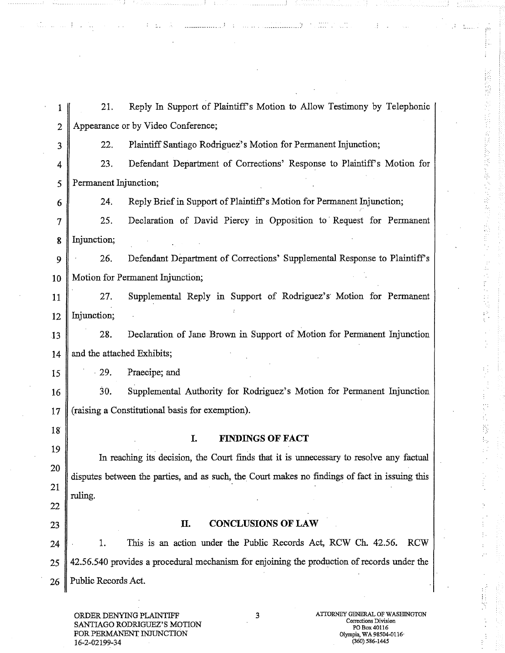1 21. Reply In Support of Plaintiff's Motion to Allow Testimony by Telephonic 2 Appearance or by Video Conference; 3 22. Plaintiff Santiago Rodriguez's Motion for Permanent Injunction; 4 23. Defendant Department of Corrections' Response to Plaintiff's Motion for 5 Permanent Injunction; 6 24. Reply Brief in Support of Plaintiff's Motion for Permanent Injunction; 7 25. Declaration of David Piercy in Opposition to ' Request for Permanent 8 Injunction; 9 26. Defendant Department of Corrections' Supplemental Response to Plaintiff's 10 | Motion for Permanent Injunction; 11 27. Supplemental Reply in Support of Rodriguez's Motion for Permanent 12 | Injunction; 13 28. Declaration of Jane Brown in Support of Motion for Permanent Injunction 14  $\parallel$  and the attached Exhibits; 15 29. Praecipe; and 16 30. Supplemental Authority for Rodriguez's Motion for Permanent Injunction 17 (raising a Constitutional basis for exemption). 18 **I. FINDINGS OF FACT**  19 In reaching its decision, the Court finds that it is unnecessary to resolve any factual 20 disputes between the parties, and as such, the Court makes no findings of fact in issuing this 21 ruling. 22 23 **H. CONCLUSIONS OF** LAW 24 **1.** This is an action under the Public Records Act, RCW Ch. 42.56. RCW 25 42.56.540 provides a procedural mechanism fox enjoining the production of records under the 26 Public Records Act.

SANTIAGO RODRIGUEZ'S MOTION FOR PERMANENT INJUNCTION Olympia, WA 98504-0116, 16-2-02199-34

Ŧ

P)<br>C)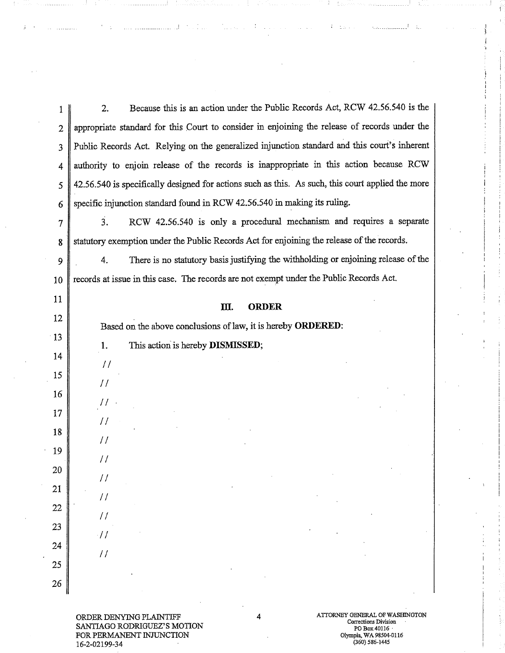1 2. Because this is an action under the Public Records Act, RCW 42.56.540 is the 2 appropriate standard for this Court to consider in enjoining the release of records under the 3 Public Records Act. Relying on the generalized injunction standard and this court's inherent 4 authority to enjoin release of the records is inappropriate in this action because RCW 5 || 42.56.540 is specifically designed for actions such as this. As such, this court applied the more 6 Specific injunction standard found in RCW 42.56.540 in making its ruling. 7 3. RCW 42.56.540 is only a procedural mechanism and requires a separate 8 statutory exemption under the Public Records Act for enjoining the release of the records. 9 4. There is no statutory basis justifying the withholding or enjoining release of the 10 | records at issue in this case. The records are not exempt under the Public Records Act. 11 **III. ORDER**  12 • Based on the above conclusions of law, it is hereby **ORDERED:**   $\frac{13}{2}$  , we have the contraction of  $\frac{1}{2}$ 1. This action is hereby **DISMISSED;**  14  $\frac{1}{2}$  $\overline{15}$  is a set of the set of the set of the set of the set of the set of the set of the set of the set of the set of the set of the set of the set of the set of the set of the set of the set of the set of the set of t 16  $\prime\prime$ 17  $\frac{1}{2}$ 18 *II* I is a set of the set of the set of the set of the set of the set of the set of the set of the set of the set 19  $\frac{1}{2}$ 20  $\frac{1}{2}$ 21 <sup>f</sup> 22 /I 23  $\cdot$ // 24  $\frac{1}{2}$  $25 \parallel$ 26

ORDER DENYING PLAINTIFF SANTIAGO RODRIGUEZ'S MOTION FOR PERMANENT INJUNCTION 16-2-02199-34

i

Kalendari Sultan

i

i I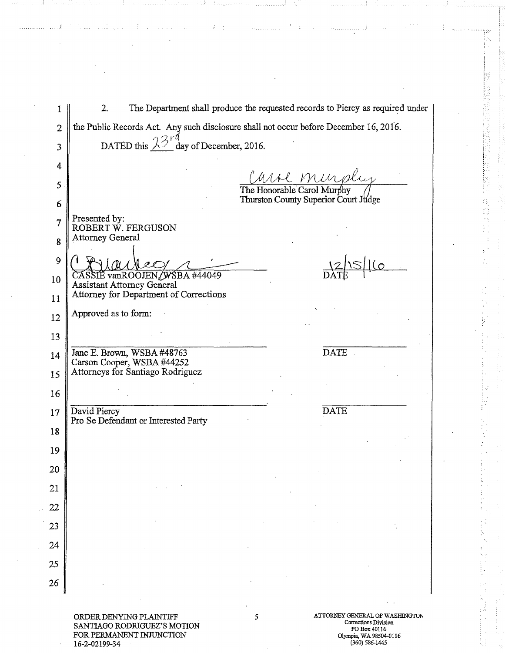| 1              | The Department shall produce the requested records to Piercy as required under<br>2.  |   |                                                                        |  |
|----------------|---------------------------------------------------------------------------------------|---|------------------------------------------------------------------------|--|
| $\overline{2}$ | the Public Records Act. Any such disclosure shall not occur before December 16, 2016. |   |                                                                        |  |
| 3              | DATED this $\lambda \frac{3}{4}$ day of December, 2016.                               |   |                                                                        |  |
| 4              |                                                                                       |   |                                                                        |  |
| 5              |                                                                                       |   | Carol Murphy<br>The Honorable Carol Murphy                             |  |
| 6              |                                                                                       |   | Thurston County Superior Court Judge                                   |  |
| 7              | Presented by:<br>ROBERT W. FERGUSON                                                   |   |                                                                        |  |
| 8              | <b>Attorney General</b>                                                               |   |                                                                        |  |
| 9              |                                                                                       |   |                                                                        |  |
| 10             | CASSIE vanROOJEN/WSBA #44049<br><b>Assistant Attorney General</b>                     |   |                                                                        |  |
| 11             | Attorney for Department of Corrections                                                |   |                                                                        |  |
| 12             | Approved as to form:                                                                  |   |                                                                        |  |
| 13             |                                                                                       |   |                                                                        |  |
| 14             | Jane E. Brown, WSBA #48763<br>Carson Cooper, WSBA #44252                              |   | <b>DATE</b>                                                            |  |
| 15             | Attorneys for Santiago Rodriguez                                                      |   |                                                                        |  |
| 16             |                                                                                       |   |                                                                        |  |
| 17             | David Piercy                                                                          |   | <b>DATE</b>                                                            |  |
| 18             | Pro Se Defendant or Interested Party                                                  |   |                                                                        |  |
| 19             |                                                                                       |   |                                                                        |  |
| 20             |                                                                                       |   |                                                                        |  |
| 21             |                                                                                       |   |                                                                        |  |
| 22             |                                                                                       |   |                                                                        |  |
| 23             |                                                                                       |   |                                                                        |  |
| 24             |                                                                                       |   |                                                                        |  |
| 25             |                                                                                       |   |                                                                        |  |
| 26             |                                                                                       |   |                                                                        |  |
|                |                                                                                       |   |                                                                        |  |
|                | ORDER DENYING PLAINTIFF<br>SANTIAGO RODRIGUEZ'S MOTION                                | 5 | ATTORNEY GENERAL OF WASHINGTON<br>Corrections Division<br>PO Box 40116 |  |

 $\tilde{x}=\tilde{z}$ 

- 1

 $\ddotsc$ 

 $\ddot{\cdot}$ 

. . . . . . . . . . . . . . . . . . 3

 $\frac{1}{2}$ 

 $\mathcal{L}$ 

بهورينيين

ð, 톱

医棒形的 经经

系数的

 $\frac{1}{2}$ 

Đ

ť.

 $\ddot{\cdot}$ 

 $\ddot{\phantom{a}}$  $\cdot$ i.<br>M

FOR PERMANENT INJUNCTION 16-2-02199-34

PO Box 40116 Olympia, WA 98504-0116 (360) 586-1445